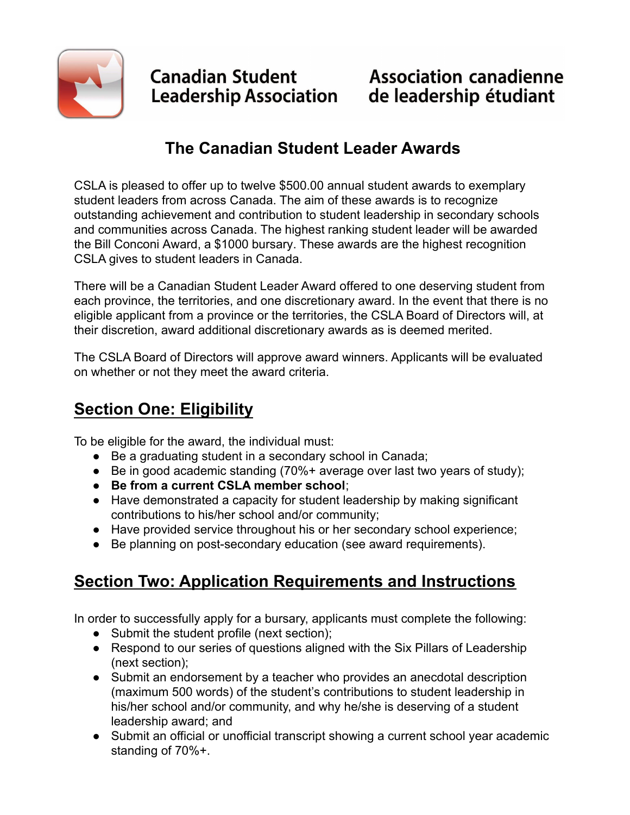

**Canadian Student** Leadership Association

## **The Canadian Student Leader Awards**

CSLA is pleased to offer up to twelve \$500.00 annual student awards to exemplary student leaders from across Canada. The aim of these awards is to recognize outstanding achievement and contribution to student leadership in secondary schools and communities across Canada. The highest ranking student leader will be awarded the Bill Conconi Award, a \$1000 bursary. These awards are the highest recognition CSLA gives to student leaders in Canada.

There will be a Canadian Student Leader Award offered to one deserving student from each province, the territories, and one discretionary award. In the event that there is no eligible applicant from a province or the territories, the CSLA Board of Directors will, at their discretion, award additional discretionary awards as is deemed merited.

The CSLA Board of Directors will approve award winners. Applicants will be evaluated on whether or not they meet the award criteria.

# **Section One: Eligibility**

To be eligible for the award, the individual must:

- Be a graduating student in a secondary school in Canada;
- Be in good academic standing (70%+ average over last two years of study);
- **Be from a current CSLA member school**;
- Have demonstrated a capacity for student leadership by making significant contributions to his/her school and/or community;
- Have provided service throughout his or her secondary school experience;
- Be planning on post-secondary education (see award requirements).

# **Section Two: Application Requirements and Instructions**

In order to successfully apply for a bursary, applicants must complete the following:

- Submit the student profile (next section);
- Respond to our series of questions aligned with the Six Pillars of Leadership (next section);
- Submit an endorsement by a teacher who provides an anecdotal description (maximum 500 words) of the student's contributions to student leadership in his/her school and/or community, and why he/she is deserving of a student leadership award; and
- Submit an official or unofficial transcript showing a current school year academic standing of 70%+.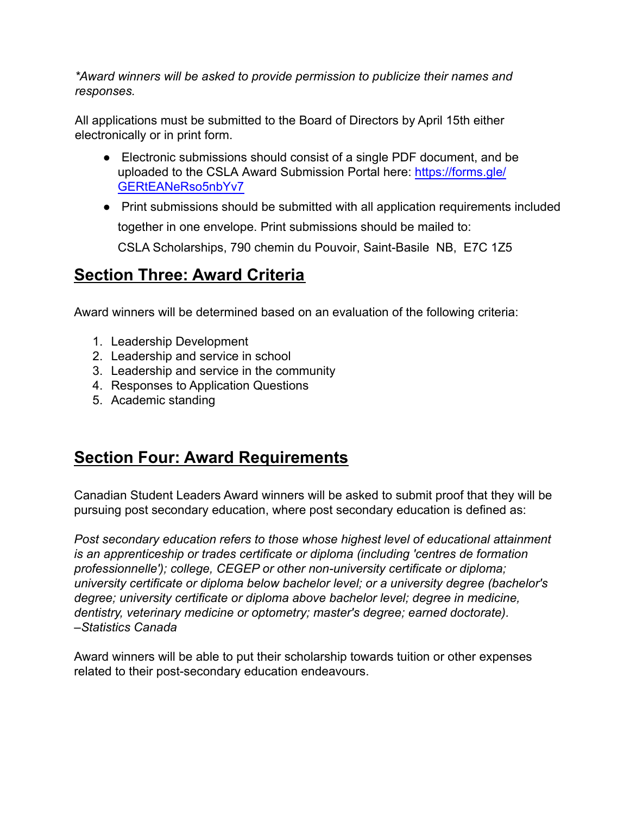*\*Award winners will be asked to provide permission to publicize their names and responses.*

All applications must be submitted to the Board of Directors by April 15th either electronically or in print form.

- Electronic submissions should consist of a single PDF document, and be uploaded to the CSLA Award Submission Portal here: [https://forms.gle/](https://forms.gle/GERtEANeRso5nbYv7) [GERtEANeRso5nbYv7](https://forms.gle/GERtEANeRso5nbYv7)
- Print submissions should be submitted with all application requirements included together in one envelope. Print submissions should be mailed to: CSLA Scholarships, 790 chemin du Pouvoir, Saint-Basile NB, E7C 1Z5

### **Section Three: Award Criteria**

Award winners will be determined based on an evaluation of the following criteria:

- 1. Leadership Development
- 2. Leadership and service in school
- 3. Leadership and service in the community
- 4. Responses to Application Questions
- 5. Academic standing

## **Section Four: Award Requirements**

Canadian Student Leaders Award winners will be asked to submit proof that they will be pursuing post secondary education, where post secondary education is defined as:

*Post secondary education refers to those whose highest level of educational attainment is an apprenticeship or trades certificate or diploma (including 'centres de formation professionnelle'); college, CEGEP or other non-university certificate or diploma; university certificate or diploma below bachelor level; or a university degree (bachelor's degree; university certificate or diploma above bachelor level; degree in medicine, dentistry, veterinary medicine or optometry; master's degree; earned doctorate). –Statistics Canada*

Award winners will be able to put their scholarship towards tuition or other expenses related to their post-secondary education endeavours.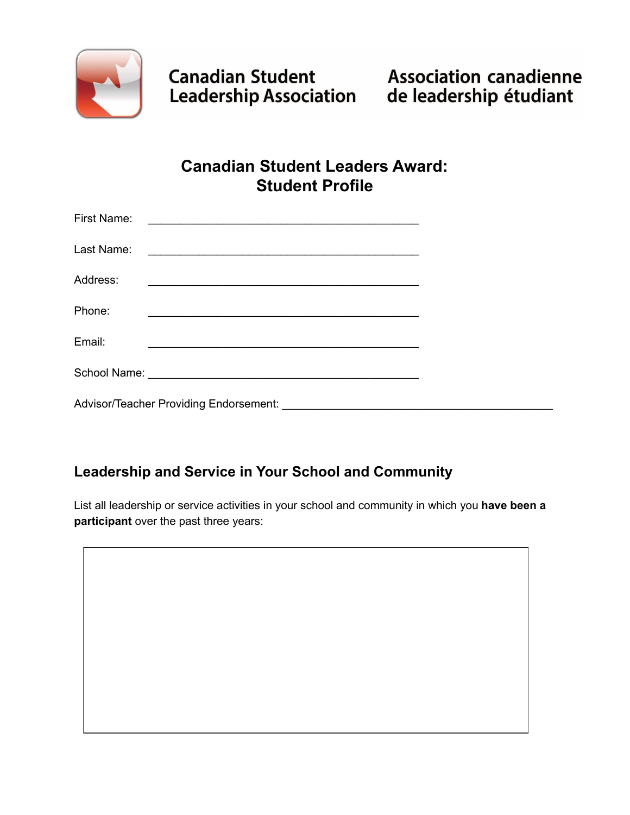

## **Canadian Student Leaders Award: Student Profile**

| First Name: | <u> 1980 - Johann John Stone, mars eta bainar eta bainar eta baina eta baina eta baina eta baina eta baina eta b</u>  |  |
|-------------|-----------------------------------------------------------------------------------------------------------------------|--|
| Last Name:  |                                                                                                                       |  |
| Address:    |                                                                                                                       |  |
| Phone:      | <u> 2000 - 2000 - 2000 - 2000 - 2000 - 2000 - 2000 - 2000 - 2000 - 2000 - 2000 - 2000 - 2000 - 2000 - 2000 - 200</u>  |  |
| Email:      | <u> 1989 - Johann Harry Harry Harry Harry Harry Harry Harry Harry Harry Harry Harry Harry Harry Harry Harry Harry</u> |  |
|             |                                                                                                                       |  |
|             | Advisor/Teacher Providing Endorsement:                                                                                |  |

#### **Leadership and Service in Your School and Community**

List all leadership or service activities in your school and community in which you **have been a participant** over the past three years: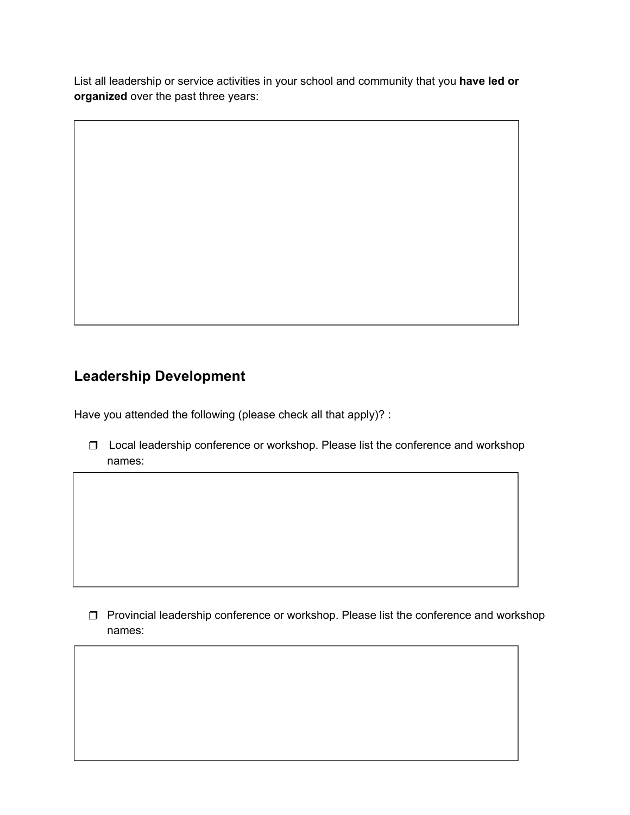List all leadership or service activities in your school and community that you **have led or organized** over the past three years:

#### **Leadership Development**

Have you attended the following (please check all that apply)? :

❒ Local leadership conference or workshop. Please list the conference and workshop names:

❒ Provincial leadership conference or workshop. Please list the conference and workshop names: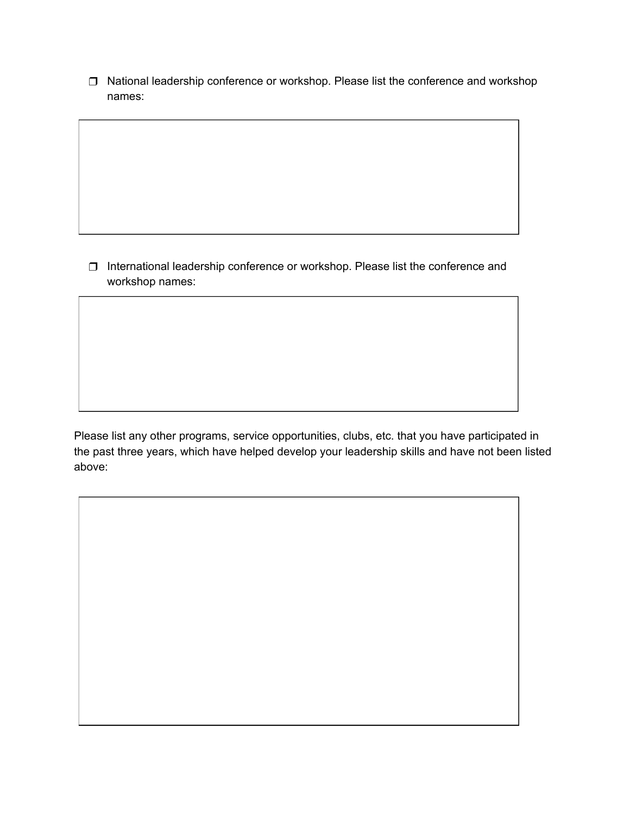❒ National leadership conference or workshop. Please list the conference and workshop names:

❒ International leadership conference or workshop. Please list the conference and workshop names:

Please list any other programs, service opportunities, clubs, etc. that you have participated in the past three years, which have helped develop your leadership skills and have not been listed above: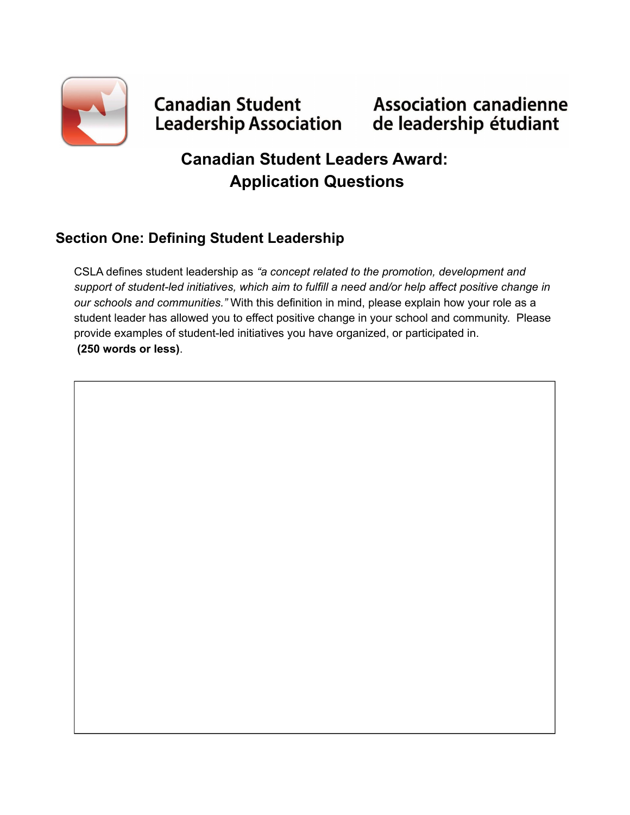

# **Canadian Student Association canadienne<br>Leadership Association de leadership étudiant**

## **Canadian Student Leaders Award: Application Questions**

#### **Section One: Defining Student Leadership**

CSLA defines student leadership as *"a concept related to the promotion, development and support of student-led initiatives, which aim to fulfill a need and/or help affect positive change in our schools and communities."* With this definition in mind, please explain how your role as a student leader has allowed you to effect positive change in your school and community. Please provide examples of student-led initiatives you have organized, or participated in. **(250 words or less)**.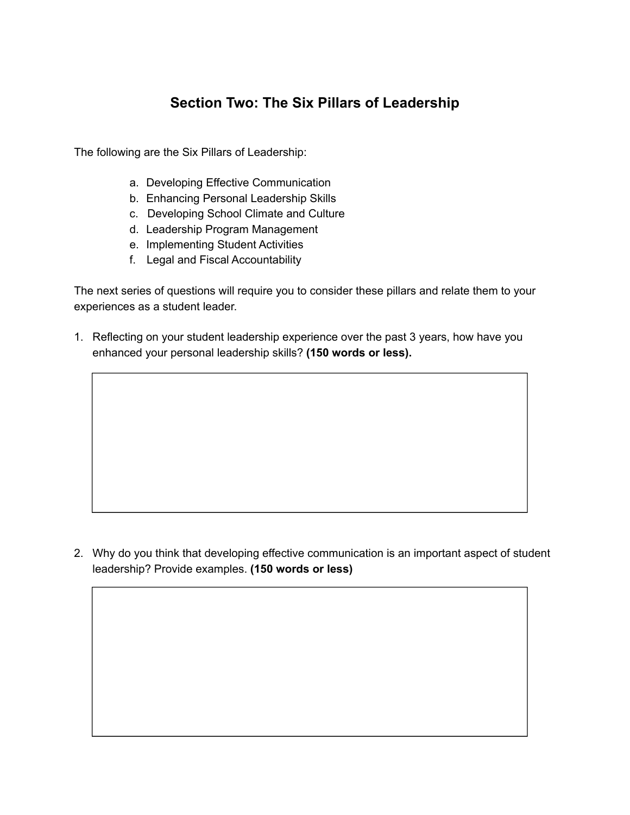#### **Section Two: The Six Pillars of Leadership**

The following are the Six Pillars of Leadership:

- a. Developing Effective Communication
- b. Enhancing Personal Leadership Skills
- c. Developing School Climate and Culture
- d. Leadership Program Management
- e. Implementing Student Activities
- f. Legal and Fiscal Accountability

The next series of questions will require you to consider these pillars and relate them to your experiences as a student leader.

1. Reflecting on your student leadership experience over the past 3 years, how have you enhanced your personal leadership skills? **(150 words or less).**

2. Why do you think that developing effective communication is an important aspect of student leadership? Provide examples. **(150 words or less)**